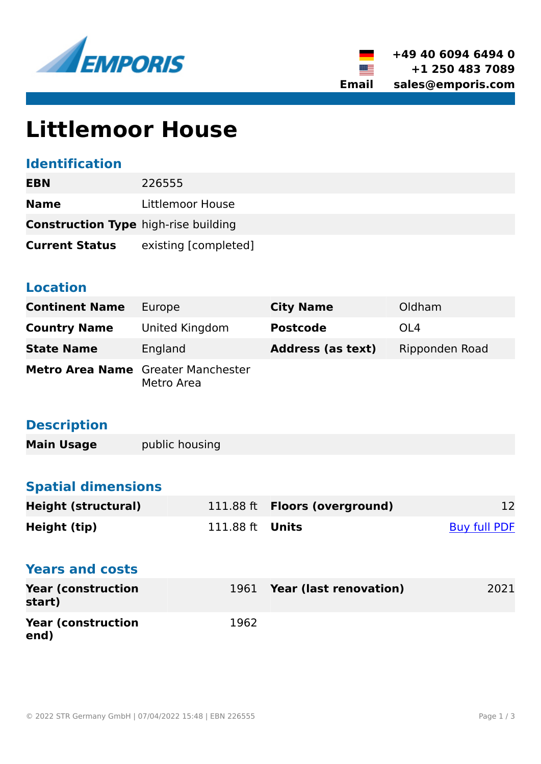



# **Littlemoor House**

# **Identification**

| EBN                                         | 226555               |
|---------------------------------------------|----------------------|
| <b>Name</b>                                 | Littlemoor House     |
| <b>Construction Type high-rise building</b> |                      |
| <b>Current Status</b>                       | existing [completed] |

### **Location**

| <b>Continent Name</b>                     | Europe         | <b>City Name</b>         | Oldham         |
|-------------------------------------------|----------------|--------------------------|----------------|
| <b>Country Name</b>                       | United Kingdom | <b>Postcode</b>          | OL4            |
| <b>State Name</b>                         | England        | <b>Address (as text)</b> | Ripponden Road |
| <b>Metro Area Name</b> Greater Manchester | Metro Area     |                          |                |

# **Description**

**Main Usage public housing** 

# **Spatial dimensions**

| <b>Height (structural)</b>          |           | 111.88 ft <b>Floors (overground)</b> | 12                  |
|-------------------------------------|-----------|--------------------------------------|---------------------|
| Height (tip)                        | 111.88 ft | Units                                | <b>Buy full PDF</b> |
| <b>Years and costs</b>              |           |                                      |                     |
| <b>Year (construction</b><br>start) |           | 1961 Year (last renovation)          | 2021                |
| <b>Year (construction</b><br>end)   | 1962      |                                      |                     |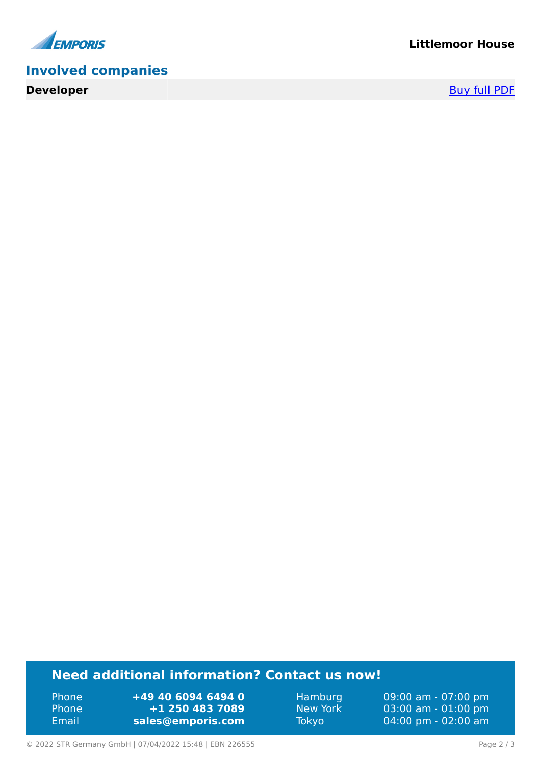

# **Involved companies**

**Developer** [Buy full PDF](https://www.emporis.com/buildings/226555/littlemoor-house-oldham-united-kingdom?buypdf=)

### **Need additional information? Contact us now!**

Phone **+49 40 6094 6494 0** Phone **+1 250 483 7089** Email **<sales@emporis.com>**

Hamburg 09:00 am - 07:00 pm<br>New York 03:00 am - 01:00 pm New York 03:00 am - 01:00 pm<br>Tokyo 04:00 pm - 02:00 am 04:00 pm - 02:00 am

© 2022 STR Germany GmbH | 07/04/2022 15:48 | EBN 226555 Page 2 / 3